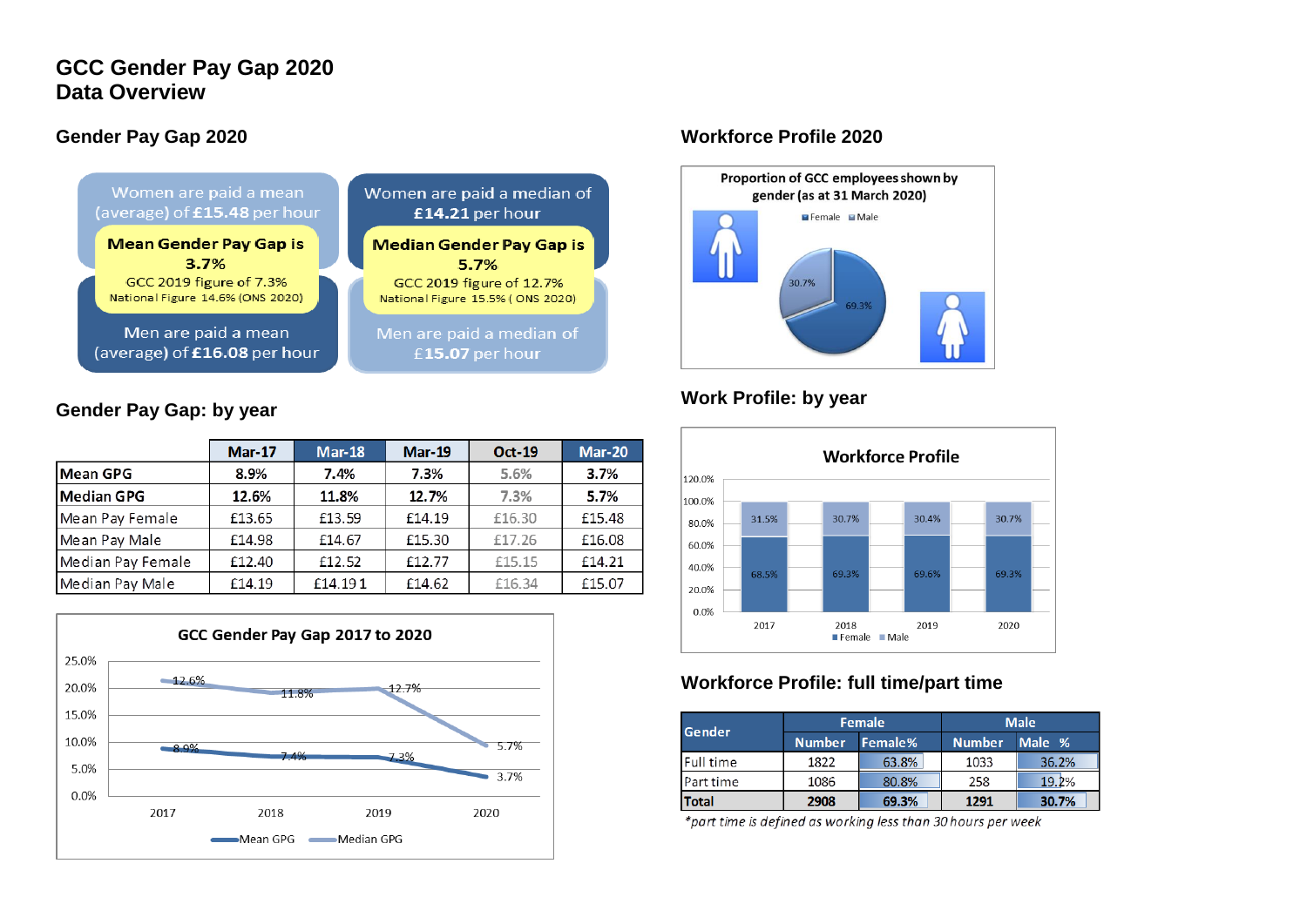# **GCC Gender Pay Gap 2020 Data Overview**

## **Gender Pay Gap 2020**



## **Gender Pay Gap: by year**

|                   | <b>Mar-17</b> | <b>Mar-18</b> | <b>Mar-19</b> | <b>Oct-19</b> | <b>Mar-20</b> |
|-------------------|---------------|---------------|---------------|---------------|---------------|
| <b>Mean GPG</b>   | 8.9%          | 7.4%          | 7.3%          | 5.6%          | 3.7%          |
| <b>Median GPG</b> | 12.6%         | 11.8%         | 12.7%         | 7.3%          | 5.7%          |
| Mean Pay Female   | £13.65        | £13.59        | £14.19        | £16.30        | £15.48        |
| Mean Pay Male     | £14.98        | £14.67        | £15.30        | £17.26        | £16.08        |
| Median Pay Female | £12.40        | £12.52        | £12.77        | £15.15        | £14.21        |
| Median Pay Male   | £14.19        | £14.191       | £14.62        | £16.34        | £15.07        |



### **Workforce Profile 2020**



# **Work Profile: by year**



# **Workforce Profile: full time/part time**

| <b>Gender</b> |                          | Female | <b>Male</b>   |       |  |  |
|---------------|--------------------------|--------|---------------|-------|--|--|
|               | <b>Number</b><br>Female% |        | Number Male % |       |  |  |
| Full time     | 1822                     | 63.8%  | 1033          | 36.2% |  |  |
| Part time     | 1086                     | 80.8%  | 258           | 19.2% |  |  |
| <b>Total</b>  | 2908                     | 69.3%  | 1291          | 30.7% |  |  |

\*part time is defined as working less than 30 hours per week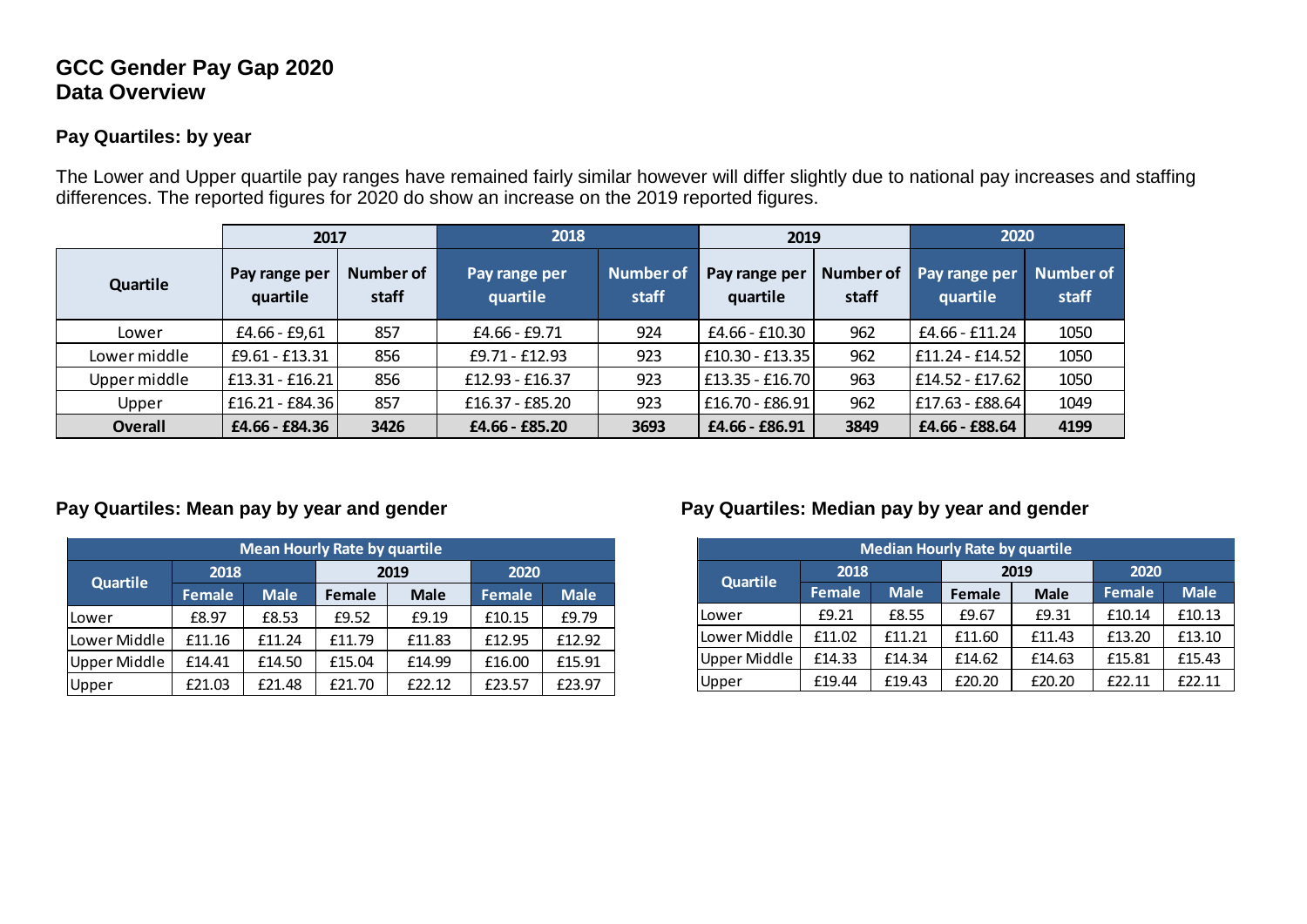# **GCC Gender Pay Gap 2020 Data Overview**

## **Pay Quartiles: by year**

The Lower and Upper quartile pay ranges have remained fairly similar however will differ slightly due to national pay increases and staffing differences. The reported figures for 2020 do show an increase on the 2019 reported figures.

|                |                           | 2018<br>2017              |                           | 2019               |                           |                           | 2020                      |                           |
|----------------|---------------------------|---------------------------|---------------------------|--------------------|---------------------------|---------------------------|---------------------------|---------------------------|
| Quartile       | Pay range per<br>quartile | <b>Number of</b><br>staff | Pay range per<br>quartile | Number of<br>staff | Pay range per<br>quartile | <b>Number of</b><br>staff | Pay range per<br>quartile | <b>Number of</b><br>staff |
| Lower          | $£4.66 - £9.61$           | 857                       | £4.66 - £9.71             | 924                | £4.66 - £10.30            | 962                       | £4.66 - £11.24            | 1050                      |
| Lower middle   | £9.61 - £13.31            | 856                       | £9.71 - £12.93            | 923                | £10.30 - £13.35           | 962                       | £11.24 - £14.52           | 1050                      |
| Upper middle   | $£13.31 - £16.21$         | 856                       | £12.93 - £16.37           | 923                | £13.35 - £16.70           | 963                       | £14.52 - £17.62           | 1050                      |
| Upper          | £16.21 - £84.36           | 857                       | £16.37 - £85.20           | 923                | £16.70 - £86.91           | 962                       | £17.63 - £88.64           | 1049                      |
| <b>Overall</b> | £4.66 - £84.36            | 3426                      | £4.66 - £85.20            | 3693               | £4.66 - £86.91            | 3849                      | £4.66 - £88.64            | 4199                      |

| <b>Mean Hourly Rate by quartile</b> |               |             |               |             |               |             |  |  |  |  |
|-------------------------------------|---------------|-------------|---------------|-------------|---------------|-------------|--|--|--|--|
| <b>Quartile</b>                     | 2018          |             |               | 2019        | 2020          |             |  |  |  |  |
|                                     | <b>Female</b> | <b>Male</b> | <b>Female</b> | <b>Male</b> | <b>Female</b> | <b>Male</b> |  |  |  |  |
| Lower                               | £8.97         | £8.53       | £9.52         | £9.19       | £10.15        | £9.79       |  |  |  |  |
| Lower Middle                        | £11.16        | £11.24      | £11.79        | £11.83      | £12.95        | £12.92      |  |  |  |  |
| <b>Upper Middle</b>                 | £14.41        | £14.50      | £15.04        | £14.99      | £16.00        | £15.91      |  |  |  |  |
| Upper                               | £21.03        | £21.48      | £21.70        | £22.12      | £23.57        | £23.97      |  |  |  |  |

# **Pay Quartiles: Mean pay by year and gender Pay Quartiles: Median pay by year and gender**

| y quartile  |        |             |                     | <b>Median Hourly Rate by quartile</b> |             |        |             |        |  |  |  |  |  |  |  |  |  |  |  |  |      |  |      |      |  |
|-------------|--------|-------------|---------------------|---------------------------------------|-------------|--------|-------------|--------|--|--|--|--|--|--|--|--|--|--|--|--|------|--|------|------|--|
|             | 2020   |             |                     |                                       |             |        |             |        |  |  |  |  |  |  |  |  |  |  |  |  | 2018 |  | 2019 | 2020 |  |
| <b>Male</b> | Female | <b>Male</b> | <b>Quartile</b>     | <b>Female</b>                         | <b>Male</b> | Female | <b>Male</b> | Female |  |  |  |  |  |  |  |  |  |  |  |  |      |  |      |      |  |
| £9.19       | £10.15 | £9.79       | l Lower             | £9.21                                 | £8.55       | £9.67  | £9.31       | £10.14 |  |  |  |  |  |  |  |  |  |  |  |  |      |  |      |      |  |
| £11.83      | £12.95 | £12.92      | Lower Middle        | £11.02                                | £11.21      | £11.60 | £11.43      | £13.20 |  |  |  |  |  |  |  |  |  |  |  |  |      |  |      |      |  |
| £14.99      | £16.00 | £15.91      | <b>Upper Middle</b> | £14.33                                | £14.34      | £14.62 | £14.63      | £15.81 |  |  |  |  |  |  |  |  |  |  |  |  |      |  |      |      |  |
| £22.12      | £23.57 | £23.97      | <b>Upper</b>        | £19.44                                | £19.43      | £20.20 | £20.20      | £22.11 |  |  |  |  |  |  |  |  |  |  |  |  |      |  |      |      |  |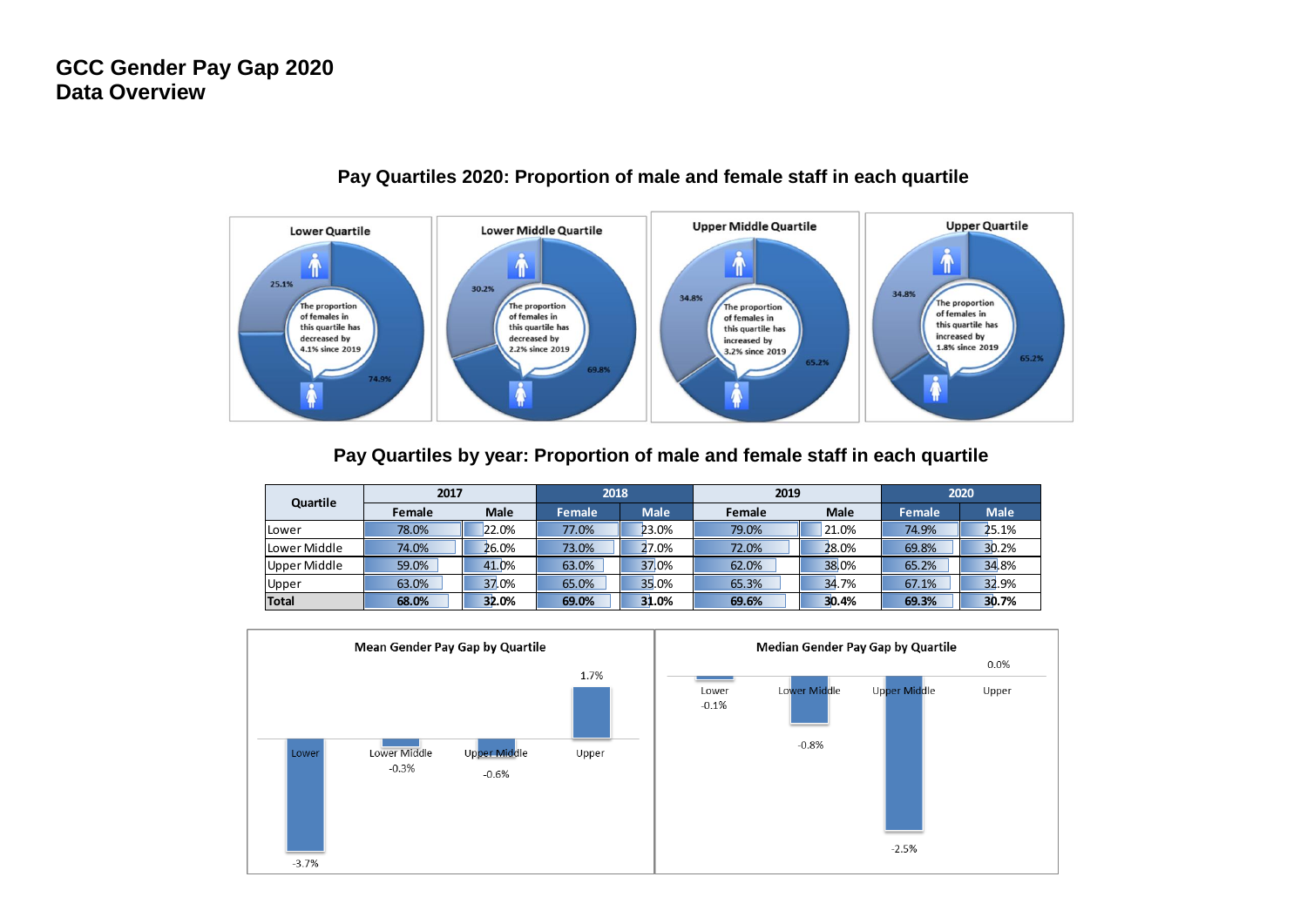

#### **Pay Quartiles 2020: Proportion of male and female staff in each quartile**

#### **Pay Quartiles by year: Proportion of male and female staff in each quartile**

| Quartile       |        | 2017        |        | 2018        |        | 2019        | 2020   |             |
|----------------|--------|-------------|--------|-------------|--------|-------------|--------|-------------|
|                | Female | <b>Male</b> | Female | <b>Male</b> | Female | <b>Male</b> | Female | <b>Male</b> |
| lLower         | 78.0%  | 22.0%       | 77.0%  | 23.0%       | 79.0%  | 21.0%       | 74.9%  | 25.1%       |
| Lower Middle   | 74.0%  | 26.0%       | 73.0%  | 27.0%       | 72.0%  | 28.0%       | 69.8%  | 30.2%       |
| I Upper Middle | 59.0%  | 41.0%       | 63.0%  | 37.0%       | 62.0%  | 38.0%       | 65.2%  | 34.8%       |
| Upper          | 63.0%  | 37.0%       | 65.0%  | 35.0%       | 65.3%  | 34.7%       | 67.1%  | 32.9%       |
| <b>Total</b>   | 68.0%  | 32.0%       | 69.0%  | 31.0%       | 69.6%  | 30.4%       | 69.3%  | 30.7%       |